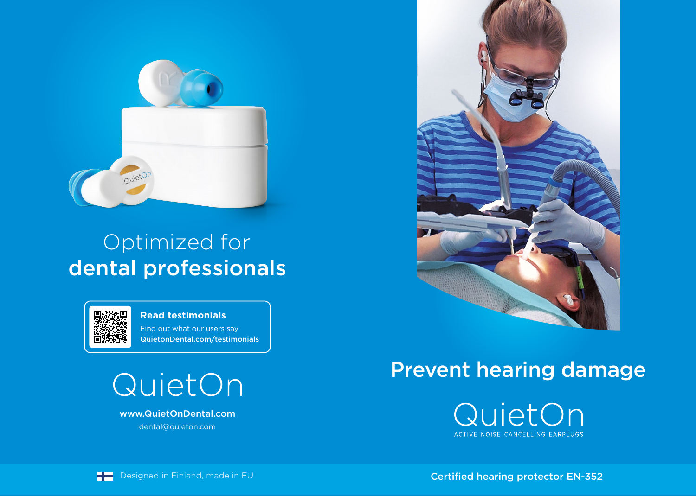

## Optimized for dental professionals



Find out what our users say QuietonDental.com/testimonials **Read testimonials**

QuietOn

www.QuietOnDental.com dental@quieton.com



## Prevent hearing damage





**Designed in Finland, made in EU** Certified hearing protector EN-352